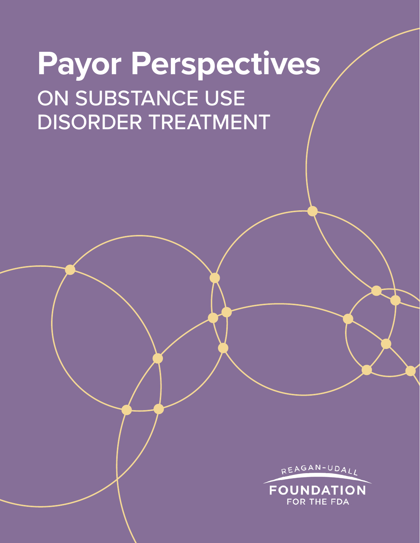# **Payor Perspectives** ON SUBSTANCE USE DISORDER TREATMENT

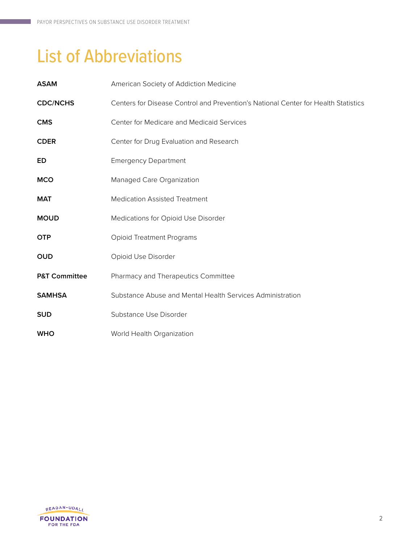## List of Abbreviations

| <b>ASAM</b>              | American Society of Addiction Medicine                                             |
|--------------------------|------------------------------------------------------------------------------------|
| <b>CDC/NCHS</b>          | Centers for Disease Control and Prevention's National Center for Health Statistics |
| <b>CMS</b>               | Center for Medicare and Medicaid Services                                          |
| <b>CDER</b>              | Center for Drug Evaluation and Research                                            |
| ED                       | <b>Emergency Department</b>                                                        |
| <b>MCO</b>               | Managed Care Organization                                                          |
| <b>MAT</b>               | <b>Medication Assisted Treatment</b>                                               |
| <b>MOUD</b>              | Medications for Opioid Use Disorder                                                |
| <b>OTP</b>               | <b>Opioid Treatment Programs</b>                                                   |
| <b>OUD</b>               | Opioid Use Disorder                                                                |
| <b>P&amp;T Committee</b> | Pharmacy and Therapeutics Committee                                                |
| <b>SAMHSA</b>            | Substance Abuse and Mental Health Services Administration                          |
| <b>SUD</b>               | Substance Use Disorder                                                             |
| <b>WHO</b>               | World Health Organization                                                          |

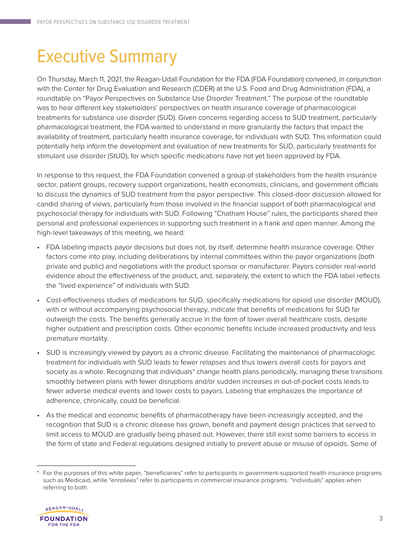## Executive Summary

On Thursday, March 11, 2021, the Reagan-Udall Foundation for the FDA (FDA Foundation) convened, in conjunction with the Center for Drug Evaluation and Research (CDER) at the U.S. Food and Drug Administration (FDA), a roundtable on "Payor Perspectives on Substance Use Disorder Treatment." The purpose of the roundtable was to hear different key stakeholders' perspectives on health insurance coverage of pharmacological treatments for substance use disorder (SUD). Given concerns regarding access to SUD treatment, particularly pharmacological treatment, the FDA wanted to understand in more granularity the factors that impact the availability of treatment, particularly health insurance coverage, for individuals with SUD. This information could potentially help inform the development and evaluation of new treatments for SUD, particularly treatments for stimulant use disorder (StUD), for which specific medications have not yet been approved by FDA.

In response to this request, the FDA Foundation convened a group of stakeholders from the health insurance sector, patient groups, recovery support organizations, health economists, clinicians, and government officials to discuss the dynamics of SUD treatment from the payor perspective. This closed-door discussion allowed for candid sharing of views, particularly from those involved in the financial support of both pharmacological and psychosocial therapy for individuals with SUD. Following "Chatham House" rules, the participants shared their personal and professional experiences in supporting such treatment in a frank and open manner. Among the high-level takeaways of this meeting, we heard:

- FDA labeling impacts payor decisions but does not, by itself, determine health insurance coverage. Other factors come into play, including deliberations by internal committees within the payor organizations (both private and public) and negotiations with the product sponsor or manufacturer. Payors consider real-world evidence about the effectiveness of the product, and, separately, the extent to which the FDA label reflects the "lived experience" of individuals with SUD.
- Cost-effectiveness studies of medications for SUD, specifically medications for opioid use disorder (MOUD), with or without accompanying psychosocial therapy, indicate that benefits of medications for SUD far outweigh the costs. The benefits generally accrue in the form of lower overall healthcare costs, despite higher outpatient and prescription costs. Other economic benefits include increased productivity and less premature mortality.
- SUD is increasingly viewed by payors as a chronic disease. Facilitating the maintenance of pharmacologic treatment for individuals with SUD leads to fewer relapses and thus lowers overall costs for payors and society as a whole. Recognizing that individuals\* change health plans periodically, managing these transitions smoothly between plans with fewer disruptions and/or sudden increases in out-of-pocket costs leads to fewer adverse medical events and lower costs to payors. Labeling that emphasizes the importance of adherence, chronically, could be beneficial.
- As the medical and economic benefits of pharmacotherapy have been increasingly accepted, and the recognition that SUD is a chronic disease has grown, benefit and payment design practices that served to limit access to MOUD are gradually being phased out. However, there still exist some barriers to access in the form of state and Federal regulations designed initially to prevent abuse or misuse of opioids. Some of

For the purposes of this white paper, "beneficiaries" refer to participants in government-supported health insurance programs such as Medicaid, while "enrollees" refer to participants in commercial insurance programs. "Individuals" applies when referring to both.

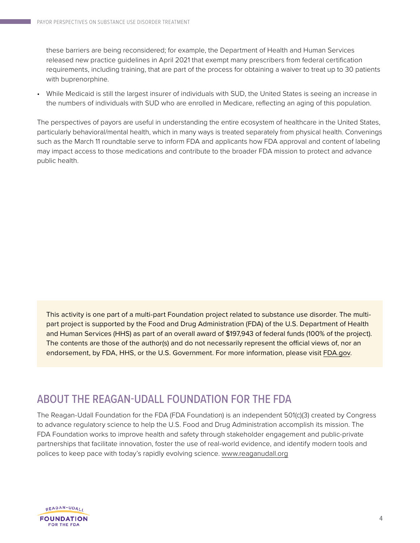these barriers are being reconsidered; for example, the Department of Health and Human Services released new practice guidelines in April 2021 that exempt many prescribers from federal certification requirements, including training, that are part of the process for obtaining a waiver to treat up to 30 patients with buprenorphine.

• While Medicaid is still the largest insurer of individuals with SUD, the United States is seeing an increase in the numbers of individuals with SUD who are enrolled in Medicare, reflecting an aging of this population.

The perspectives of payors are useful in understanding the entire ecosystem of healthcare in the United States, particularly behavioral/mental health, which in many ways is treated separately from physical health. Convenings such as the March 11 roundtable serve to inform FDA and applicants how FDA approval and content of labeling may impact access to those medications and contribute to the broader FDA mission to protect and advance public health.

This activity is one part of a multi-part Foundation project related to substance use disorder. The multipart project is supported by the Food and Drug Administration (FDA) of the U.S. Department of Health and Human Services (HHS) as part of an overall award of \$197,943 of federal funds (100% of the project). The contents are those of the author(s) and do not necessarily represent the official views of, nor an endorsement, by FDA, HHS, or the U.S. Government. For more information, please visit [FDA.gov.](https://www.fda.gov)

### ABOUT THE REAGAN-UDALL FOUNDATION FOR THE FDA

The Reagan-Udall Foundation for the FDA (FDA Foundation) is an independent 501(c)(3) created by Congress to advance regulatory science to help the U.S. Food and Drug Administration accomplish its mission. The FDA Foundation works to improve health and safety through stakeholder engagement and public-private partnerships that facilitate innovation, foster the use of real-world evidence, and identify modern tools and polices to keep pace with today's rapidly evolving science. [www.reaganudall.org](https://www.reaganudall.org)

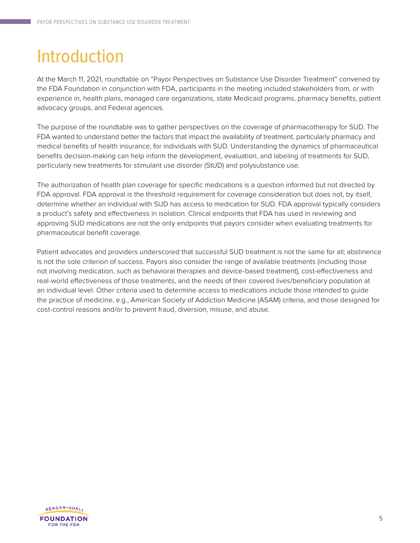## Introduction

At the March 11, 2021, roundtable on "Payor Perspectives on Substance Use Disorder Treatment" convened by the FDA Foundation in conjunction with FDA, participants in the meeting included stakeholders from, or with experience in, health plans, managed care organizations, state Medicaid programs, pharmacy benefits, patient advocacy groups, and Federal agencies.

The purpose of the roundtable was to gather perspectives on the coverage of pharmacotherapy for SUD. The FDA wanted to understand better the factors that impact the availability of treatment, particularly pharmacy and medical benefits of health insurance, for individuals with SUD. Understanding the dynamics of pharmaceutical benefits decision-making can help inform the development, evaluation, and labeling of treatments for SUD, particularly new treatments for stimulant use disorder (StUD) and polysubstance use.

The authorization of health plan coverage for specific medications is a question informed but not directed by FDA approval. FDA approval is the threshold requirement for coverage consideration but does not, by itself, determine whether an individual with SUD has access to medication for SUD. FDA approval typically considers a product's safety and effectiveness in isolation. Clinical endpoints that FDA has used in reviewing and approving SUD medications are not the only endpoints that payors consider when evaluating treatments for pharmaceutical benefit coverage.

Patient advocates and providers underscored that successful SUD treatment is not the same for all; abstinence is not the sole criterion of success. Payors also consider the range of available treatments (including those not involving medication, such as behavioral therapies and device-based treatment), cost-effectiveness and real-world effectiveness of those treatments, and the needs of their covered lives/beneficiary population at an individual level. Other criteria used to determine access to medications include those intended to guide the practice of medicine, e.g., American Society of Addiction Medicine (ASAM) criteria, and those designed for cost-control reasons and/or to prevent fraud, diversion, misuse, and abuse.

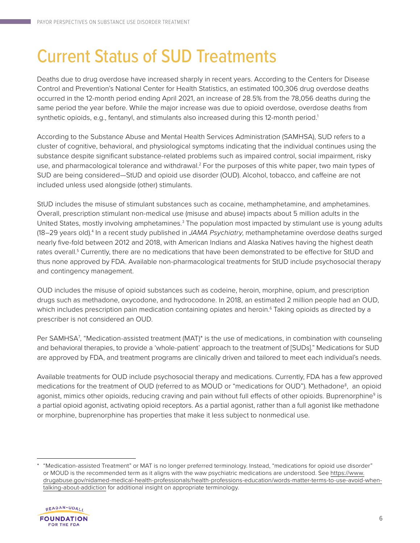## Current Status of SUD Treatments

Deaths due to drug overdose have increased sharply in recent years. According to the Centers for Disease Control and Prevention's National Center for Health Statistics, an estimated 100,306 drug overdose deaths occurred in the 12-month period ending April 2021, an increase of 28.5% from the 78,056 deaths during the same period the year before. While the major increase was due to opioid overdose, overdose deaths from synthetic opioids, e.g., fentanyl, and stimulants also increased during this 12-month period.<sup>1</sup>

According to the Substance Abuse and Mental Health Services Administration (SAMHSA), SUD refers to a cluster of cognitive, behavioral, and physiological symptoms indicating that the individual continues using the substance despite significant substance-related problems such as impaired control, social impairment, risky use, and pharmacological tolerance and withdrawal.<sup>2</sup> For the purposes of this white paper, two main types of SUD are being considered—StUD and opioid use disorder (OUD). Alcohol, tobacco, and caffeine are not included unless used alongside (other) stimulants.

StUD includes the misuse of stimulant substances such as cocaine, methamphetamine, and amphetamines. Overall, prescription stimulant non-medical use (misuse and abuse) impacts about 5 million adults in the United States, mostly involving amphetamines.<sup>3</sup> The population most impacted by stimulant use is young adults (18–29 years old).<sup>4</sup> In a recent study published in *JAMA Psychiatry*, methamphetamine overdose deaths surged nearly five-fold between 2012 and 2018, with American Indians and Alaska Natives having the highest death rates overall.<sup>5</sup> Currently, there are no medications that have been demonstrated to be effective for StUD and thus none approved by FDA. Available non-pharmacological treatments for StUD include psychosocial therapy and contingency management.

OUD includes the misuse of opioid substances such as codeine, heroin, morphine, opium, and prescription drugs such as methadone, oxycodone, and hydrocodone. In 2018, an estimated 2 million people had an OUD, which includes prescription pain medication containing opiates and heroin.<sup>6</sup> Taking opioids as directed by a prescriber is not considered an OUD.

Per SAMHSA<sup>7</sup> , "Medication-assisted treatment (MAT)\* is the use of medications, in combination with counseling and behavioral therapies, to provide a 'whole-patient' approach to the treatment of [SUDs]." Medications for SUD are approved by FDA, and treatment programs are clinically driven and tailored to meet each individual's needs.

Available treatments for OUD include psychosocial therapy and medications. Currently, FDA has a few approved medications for the treatment of OUD (referred to as MOUD or "medications for OUD"). Methadone<sup>8</sup>, an opioid agonist, mimics other opioids, reducing craving and pain without full effects of other opioids. Buprenorphine<sup>9</sup> is a partial opioid agonist, activating opioid receptors. As a partial agonist, rather than a full agonist like methadone or morphine, buprenorphine has properties that make it less subject to nonmedical use.

<sup>\*</sup> "Medication-assisted Treatment" or MAT is no longer preferred terminology. Instead, "medications for opioid use disorder" or MOUD is the recommended term as it aligns with the waw psychiatric medications are understood. See [https://www.](https://www.drugabuse.gov/nidamed-medical-health-professionals/health-professions-education/words-matter-terms-to-use-avoid-when-talking-about-addiction) [drugabuse.gov/nidamed-medical-health-professionals/health-professions-education/words-matter-terms-to-use-avoid-when](https://www.drugabuse.gov/nidamed-medical-health-professionals/health-professions-education/words-matter-terms-to-use-avoid-when-talking-about-addiction)[talking-about-addiction](https://www.drugabuse.gov/nidamed-medical-health-professionals/health-professions-education/words-matter-terms-to-use-avoid-when-talking-about-addiction) for additional insight on appropriate terminology.

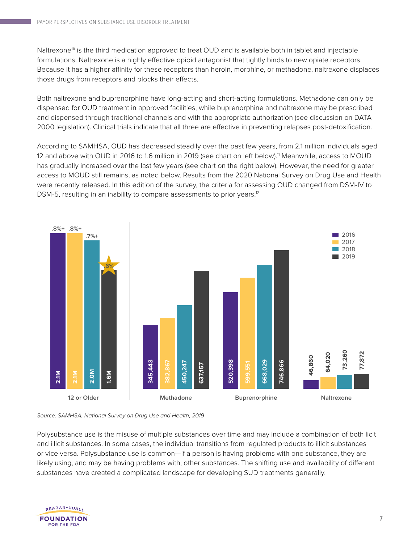Naltrexone<sup>10</sup> is the third medication approved to treat OUD and is available both in tablet and injectable formulations. Naltrexone is a highly effective opioid antagonist that tightly binds to new opiate receptors. Because it has a higher affinity for these receptors than heroin, morphine, or methadone, naltrexone displaces those drugs from receptors and blocks their effects.

Both naltrexone and buprenorphine have long-acting and short-acting formulations. Methadone can only be dispensed for OUD treatment in approved facilities, while buprenorphine and naltrexone may be prescribed and dispensed through traditional channels and with the appropriate authorization (see discussion on DATA 2000 legislation). Clinical trials indicate that all three are effective in preventing relapses post-detoxification.

According to SAMHSA, OUD has decreased steadily over the past few years, from 2.1 million individuals aged 12 and above with OUD in 2016 to 1.6 million in 2019 (see chart on left below).<sup>11</sup> Meanwhile, access to MOUD has gradually increased over the last few years (see chart on the right below). However, the need for greater access to MOUD still remains, as noted below. Results from the 2020 National Survey on Drug Use and Health were recently released. In this edition of the survey, the criteria for assessing OUD changed from DSM-IV to DSM-5, resulting in an inability to compare assessments to prior years.<sup>12</sup>



*Source: SAMHSA, National Survey on Drug Use and Health, 2019*

Polysubstance use is the misuse of multiple substances over time and may include a combination of both licit and illicit substances. In some cases, the individual transitions from regulated products to illicit substances or vice versa. Polysubstance use is common—if a person is having problems with one substance, they are likely using, and may be having problems with, other substances. The shifting use and availability of different substances have created a complicated landscape for developing SUD treatments generally.

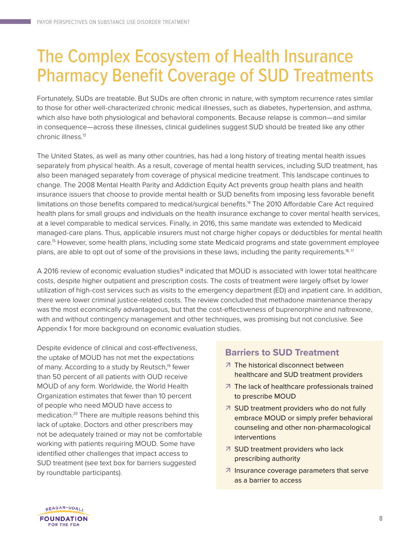### The Complex Ecosystem of Health Insurance Pharmacy Benefit Coverage of SUD Treatments

Fortunately, SUDs are treatable. But SUDs are often chronic in nature, with symptom recurrence rates similar to those for other well-characterized chronic medical illnesses, such as diabetes, hypertension, and asthma, which also have both physiological and behavioral components. Because relapse is common—and similar in consequence—across these illnesses, clinical guidelines suggest SUD should be treated like any other chronic illness.<sup>13</sup>

The United States, as well as many other countries, has had a long history of treating mental health issues separately from physical health. As a result, coverage of mental health services, including SUD treatment, has also been managed separately from coverage of physical medicine treatment. This landscape continues to change. The 2008 Mental Health Parity and Addiction Equity Act prevents group health plans and health insurance issuers that choose to provide mental health or SUD benefits from imposing less favorable benefit limitations on those benefits compared to medical/surgical benefits.<sup>14</sup> The 2010 Affordable Care Act required health plans for small groups and individuals on the health insurance exchange to cover mental health services, at a level comparable to medical services. Finally, in 2016, this same mandate was extended to Medicaid managed-care plans. Thus, applicable insurers must not charge higher copays or deductibles for mental health care.<sup>15</sup> However, some health plans, including some state Medicaid programs and state government employee plans, are able to opt out of some of the provisions in these laws, including the parity requirements.<sup>16, 17</sup>

A 2016 review of economic evaluation studies<sup>18</sup> indicated that MOUD is associated with lower total healthcare costs, despite higher outpatient and prescription costs. The costs of treatment were largely offset by lower utilization of high-cost services such as visits to the emergency department (ED) and inpatient care. In addition, there were lower criminal justice-related costs. The review concluded that methadone maintenance therapy was the most economically advantageous, but that the cost-effectiveness of buprenorphine and naltrexone, with and without contingency management and other techniques, was promising but not conclusive. See Appendix 1 for more background on economic evaluation studies.

Despite evidence of clinical and cost-effectiveness, the uptake of MOUD has not met the expectations of many. According to a study by Reutsch.<sup>19</sup> fewer than 50 percent of all patients with OUD receive MOUD of any form. Worldwide, the World Health Organization estimates that fewer than 10 percent of people who need MOUD have access to medication.<sup>20</sup> There are multiple reasons behind this lack of uptake. Doctors and other prescribers may not be adequately trained or may not be comfortable working with patients requiring MOUD. Some have identified other challenges that impact access to SUD treatment (see text box for barriers suggested by roundtable participants).

### **Barriers to SUD Treatment**

- 7 The historical disconnect between healthcare and SUD treatment providers
- **7** The lack of healthcare professionals trained to prescribe MOUD
- SUD treatment providers who do not fully embrace MOUD or simply prefer behavioral counseling and other non-pharmacological interventions
- 7 SUD treatment providers who lack prescribing authority
- $\overline{\phantom{a}}$  Insurance coverage parameters that serve as a barrier to access

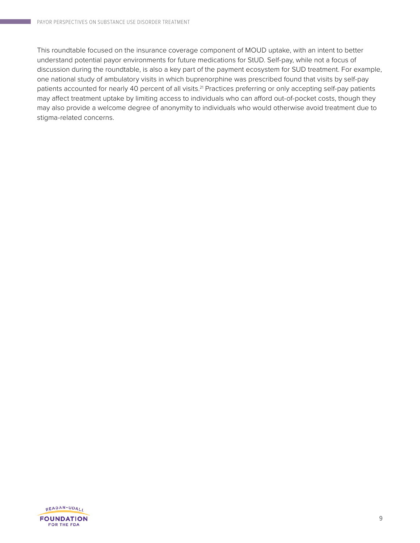This roundtable focused on the insurance coverage component of MOUD uptake, with an intent to better understand potential payor environments for future medications for StUD. Self-pay, while not a focus of discussion during the roundtable, is also a key part of the payment ecosystem for SUD treatment. For example, one national study of ambulatory visits in which buprenorphine was prescribed found that visits by self-pay patients accounted for nearly 40 percent of all visits.<sup>21</sup> Practices preferring or only accepting self-pay patients may affect treatment uptake by limiting access to individuals who can afford out-of-pocket costs, though they may also provide a welcome degree of anonymity to individuals who would otherwise avoid treatment due to stigma-related concerns.

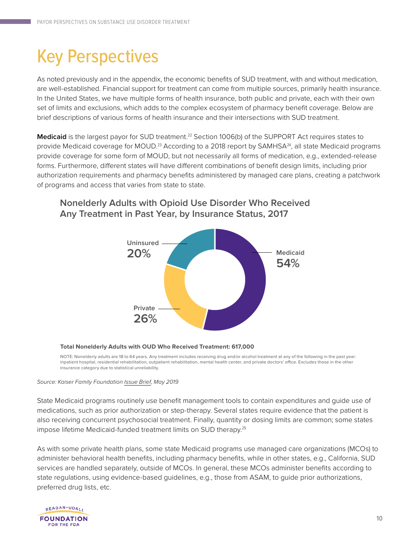## Key Perspectives

As noted previously and in the appendix, the economic benefits of SUD treatment, with and without medication, are well-established. Financial support for treatment can come from multiple sources, primarily health insurance. In the United States, we have multiple forms of health insurance, both public and private, each with their own set of limits and exclusions, which adds to the complex ecosystem of pharmacy benefit coverage. Below are brief descriptions of various forms of health insurance and their intersections with SUD treatment.

Medicaid is the largest payor for SUD treatment.<sup>22</sup> Section 1006(b) of the SUPPORT Act requires states to provide Medicaid coverage for MOUD.<sup>23</sup> According to a 2018 report by SAMHSA<sup>24</sup>, all state Medicaid programs provide coverage for some form of MOUD, but not necessarily all forms of medication, e.g., extended-release forms. Furthermore, different states will have different combinations of benefit design limits, including prior authorization requirements and pharmacy benefits administered by managed care plans, creating a patchwork of programs and access that varies from state to state.

### **Medicaid 54% Private 26% Uninsured 20%**

### **Nonelderly Adults with Opioid Use Disorder Who Received Any Treatment in Past Year, by Insurance Status, 2017**

**Total Nonelderly Adults with OUD Who Received Treatment: 617,000**

NOTE: Nonelderly adults are 18 to 64 years. Any treatment includes receiving drug and/or alcohol treatment at any of the following in the past year: inpatient hospital, residential rehabilitation, outpatient rehabilitation, mental health center, and private doctors' office. Excludes those in the other insurance category due to statistical unreliability.

#### *Source: Kaiser Family Foundation [Issue Brief](https://files.kff.org/attachment/Issue-Brief-The-Opioid-Epidemic-and-Medicaids-Role-in-Facilitating-Access-to-Treatment), May 2019*

State Medicaid programs routinely use benefit management tools to contain expenditures and guide use of medications, such as prior authorization or step-therapy. Several states require evidence that the patient is also receiving concurrent psychosocial treatment. Finally, quantity or dosing limits are common; some states impose lifetime Medicaid-funded treatment limits on SUD therapy.<sup>25</sup>

As with some private health plans, some state Medicaid programs use managed care organizations (MCOs) to administer behavioral health benefits, including pharmacy benefits, while in other states, e.g., California, SUD services are handled separately, outside of MCOs. In general, these MCOs administer benefits according to state regulations, using evidence-based guidelines, e.g., those from ASAM, to guide prior authorizations, preferred drug lists, etc.

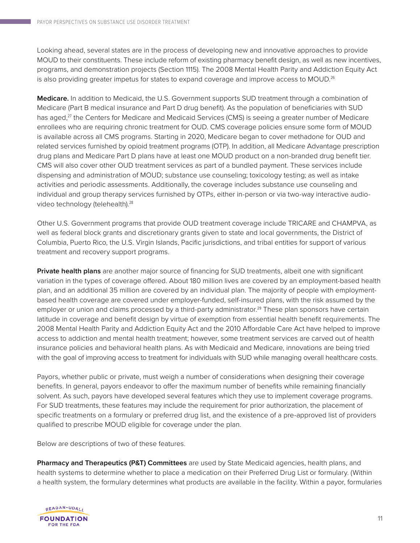Looking ahead, several states are in the process of developing new and innovative approaches to provide MOUD to their constituents. These include reform of existing pharmacy benefit design, as well as new incentives, programs, and demonstration projects (Section 1115). The 2008 Mental Health Parity and Addiction Equity Act is also providing greater impetus for states to expand coverage and improve access to MOUD.<sup>26</sup>

**Medicare.** In addition to Medicaid, the U.S. Government supports SUD treatment through a combination of Medicare (Part B medical insurance and Part D drug benefit). As the population of beneficiaries with SUD has aged,<sup>27</sup> the Centers for Medicare and Medicaid Services (CMS) is seeing a greater number of Medicare enrollees who are requiring chronic treatment for OUD. CMS coverage policies ensure some form of MOUD is available across all CMS programs. Starting in 2020, Medicare began to cover methadone for OUD and related services furnished by opioid treatment programs (OTP). In addition, all Medicare Advantage prescription drug plans and Medicare Part D plans have at least one MOUD product on a non-branded drug benefit tier. CMS will also cover other OUD treatment services as part of a bundled payment. These services include dispensing and administration of MOUD; substance use counseling; toxicology testing; as well as intake activities and periodic assessments. Additionally, the coverage includes substance use counseling and individual and group therapy services furnished by OTPs, either in-person or via two-way interactive audiovideo technology (telehealth).<sup>28</sup>

Other U.S. Government programs that provide OUD treatment coverage include TRICARE and CHAMPVA, as well as federal block grants and discretionary grants given to state and local governments, the District of Columbia, Puerto Rico, the U.S. Virgin Islands, Pacific jurisdictions, and tribal entities for support of various treatment and recovery support programs.

**Private health plans** are another major source of financing for SUD treatments, albeit one with significant variation in the types of coverage offered. About 180 million lives are covered by an employment-based health plan, and an additional 35 million are covered by an individual plan. The majority of people with employmentbased health coverage are covered under employer-funded, self-insured plans, with the risk assumed by the employer or union and claims processed by a third-party administrator.<sup>29</sup> These plan sponsors have certain latitude in coverage and benefit design by virtue of exemption from essential health benefit requirements. The 2008 Mental Health Parity and Addiction Equity Act and the 2010 Affordable Care Act have helped to improve access to addiction and mental health treatment; however, some treatment services are carved out of health insurance policies and behavioral health plans. As with Medicaid and Medicare, innovations are being tried with the goal of improving access to treatment for individuals with SUD while managing overall healthcare costs.

Payors, whether public or private, must weigh a number of considerations when designing their coverage benefits. In general, payors endeavor to offer the maximum number of benefits while remaining financially solvent. As such, payors have developed several features which they use to implement coverage programs. For SUD treatments, these features may include the requirement for prior authorization, the placement of specific treatments on a formulary or preferred drug list, and the existence of a pre-approved list of providers qualified to prescribe MOUD eligible for coverage under the plan.

Below are descriptions of two of these features.

**Pharmacy and Therapeutics (P&T) Committees** are used by State Medicaid agencies, health plans, and health systems to determine whether to place a medication on their Preferred Drug List or formulary. (Within a health system, the formulary determines what products are available in the facility. Within a payor, formularies

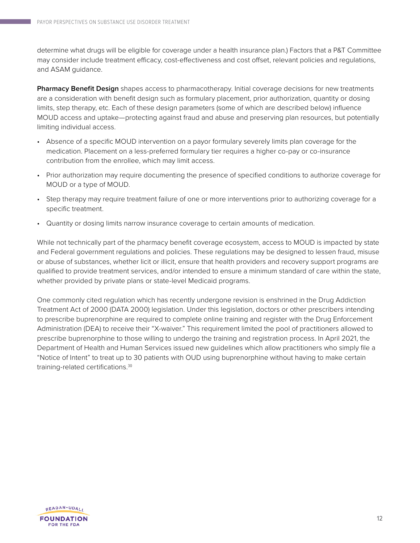determine what drugs will be eligible for coverage under a health insurance plan.) Factors that a P&T Committee may consider include treatment efficacy, cost-effectiveness and cost offset, relevant policies and regulations, and ASAM guidance.

**Pharmacy Benefit Design** shapes access to pharmacotherapy. Initial coverage decisions for new treatments are a consideration with benefit design such as formulary placement, prior authorization, quantity or dosing limits, step therapy, etc. Each of these design parameters (some of which are described below) influence MOUD access and uptake—protecting against fraud and abuse and preserving plan resources, but potentially limiting individual access.

- Absence of a specific MOUD intervention on a payor formulary severely limits plan coverage for the medication. Placement on a less-preferred formulary tier requires a higher co-pay or co-insurance contribution from the enrollee, which may limit access.
- Prior authorization may require documenting the presence of specified conditions to authorize coverage for MOUD or a type of MOUD.
- Step therapy may require treatment failure of one or more interventions prior to authorizing coverage for a specific treatment.
- Quantity or dosing limits narrow insurance coverage to certain amounts of medication.

While not technically part of the pharmacy benefit coverage ecosystem, access to MOUD is impacted by state and Federal government regulations and policies. These regulations may be designed to lessen fraud, misuse or abuse of substances, whether licit or illicit, ensure that health providers and recovery support programs are qualified to provide treatment services, and/or intended to ensure a minimum standard of care within the state, whether provided by private plans or state-level Medicaid programs.

One commonly cited regulation which has recently undergone revision is enshrined in the Drug Addiction Treatment Act of 2000 (DATA 2000) legislation. Under this legislation, doctors or other prescribers intending to prescribe buprenorphine are required to complete online training and register with the Drug Enforcement Administration (DEA) to receive their "X-waiver." This requirement limited the pool of practitioners allowed to prescribe buprenorphine to those willing to undergo the training and registration process. In April 2021, the Department of Health and Human Services issued new guidelines which allow practitioners who simply file a "Notice of Intent" to treat up to 30 patients with OUD using buprenorphine without having to make certain training-related certifications.30

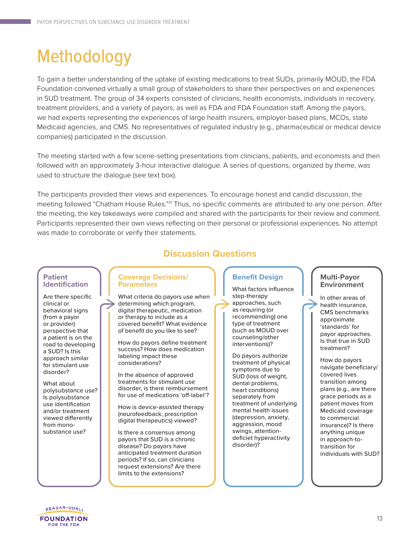## **Methodology**

To gain a better understanding of the uptake of existing medications to treat SUDs, primarily MOUD, the FDA Foundation convened virtually a small group of stakeholders to share their perspectives on and experiences in SUD treatment. The group of 34 experts consisted of clinicians, health economists, individuals in recovery, treatment providers, and a variety of payors, as well as FDA and FDA Foundation staff. Among the payors, we had experts representing the experiences of large health insurers, employer-based plans, MCOs, state Medicaid agencies, and CMS. No representatives of regulated industry (e.g., pharmaceutical or medical device companies) participated in the discussion.

The meeting started with a few scene-setting presentations from clinicians, patients, and economists and then followed with an approximately 3-hour interactive dialogue. A series of questions, organized by theme, was used to structure the dialogue (see text box).

The participants provided their views and experiences. To encourage honest and candid discussion, the meeting followed "Chatham House Rules."<sup>31</sup> Thus, no specific comments are attributed to any one person. After the meeting, the key takeaways were compiled and shared with the participants for their review and comment. Participants represented their own views reflecting on their personal or professional experiences. No attempt was made to corroborate or verify their statements.

#### **Patient Identification**

Are there specific clinical or behavioral signs (from a payor or provider) perspective that a patient is on the road to developing a SUD? Is this approach similar for stimulant use disorder?

What about polysubstance use? Is polysubstance use identification and/or treatment viewed differently from monosubstance use?

### **Discussion Questions**

#### **Coverage Decisions/ Parameters**

What criteria do payors use when determining which program, digital therapeutic, medication or therapy to include as a covered benefit? What evidence of benefit do you like to see?

How do payors define treatment success? How does medication labeling impact these considerations?

In the absence of approved treatments for stimulant use disorder, is there reimbursement for use of medications 'off-label'?

How is device-assisted therapy (neurofeedback, prescription digital therapeutics) viewed?

Is there a consensus among payors that SUD is a chronic disease? Do payors have anticipated treatment duration periods? If so, can clinicians request extensions? Are there limits to the extensions?

#### **Benefit Design**

What factors influence step-therapy approaches, such as requiring (or recommending) one type of treatment (such as MOUD over counseling/other interventions)?

Do payors authorize treatment of physical symptoms due to SUD (loss of weight, dental problems, heart conditions) separately from treatment of underlying mental health issues (depression, anxiety, aggression, mood swings, attentiondeficiet hyperactivity disorder)?

#### **Multi-Payor Environment**

In other areas of health insurance, CMS benchmarks approximate 'standards' for payor approaches. Is that true in SUD treatment?

How do payors navigate beneficiary/ covered lives transition among plans (e.g., are there grace periods as a patient moves from Medicaid coverage to commercial insurance)? Is there anything unique in approach-totransition for individuals with SUD?

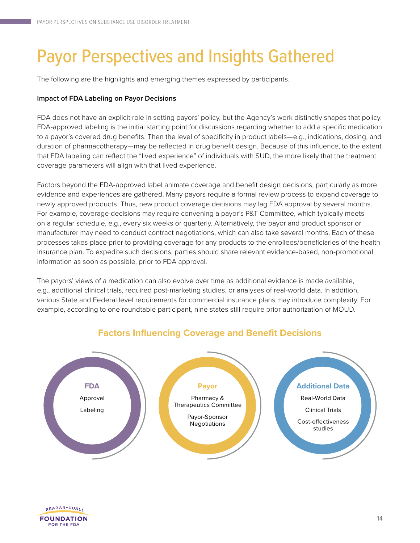## Payor Perspectives and Insights Gathered

The following are the highlights and emerging themes expressed by participants.

### **Impact of FDA Labeling on Payor Decisions**

FDA does not have an explicit role in setting payors' policy, but the Agency's work distinctly shapes that policy. FDA-approved labeling is the initial starting point for discussions regarding whether to add a specific medication to a payor's covered drug benefits. Then the level of specificity in product labels—e.g., indications, dosing, and duration of pharmacotherapy—may be reflected in drug benefit design. Because of this influence, to the extent that FDA labeling can reflect the "lived experience" of individuals with SUD, the more likely that the treatment coverage parameters will align with that lived experience.

Factors beyond the FDA-approved label animate coverage and benefit design decisions, particularly as more evidence and experiences are gathered. Many payors require a formal review process to expand coverage to newly approved products. Thus, new product coverage decisions may lag FDA approval by several months. For example, coverage decisions may require convening a payor's P&T Committee, which typically meets on a regular schedule, e.g., every six weeks or quarterly. Alternatively, the payor and product sponsor or manufacturer may need to conduct contract negotiations, which can also take several months. Each of these processes takes place prior to providing coverage for any products to the enrollees/beneficiaries of the health insurance plan. To expedite such decisions, parties should share relevant evidence-based, non-promotional information as soon as possible, prior to FDA approval.

The payors' views of a medication can also evolve over time as additional evidence is made available, e.g., additional clinical trials, required post-marketing studies, or analyses of real-world data. In addition, various State and Federal level requirements for commercial insurance plans may introduce complexity. For example, according to one roundtable participant, nine states still require prior authorization of MOUD.



### **Factors Influencing Coverage and Benefit Decisions**

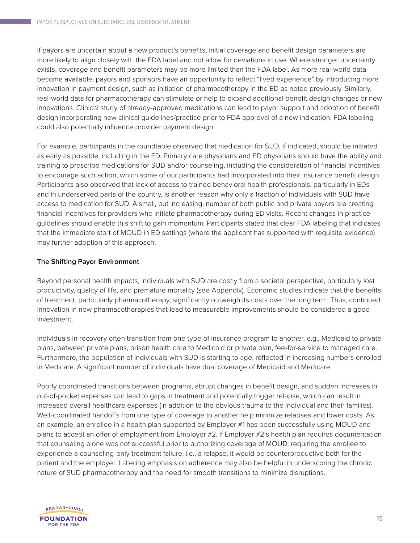If payors are uncertain about a new product's benefits, initial coverage and benefit design parameters are more likely to align closely with the FDA label and not allow for deviations in use. Where stronger uncertainty exists, coverage and benefit parameters may be more limited than the FDA label. As more real-world data become available, payors and sponsors have an opportunity to reflect "lived experience" by introducing more innovation in payment design, such as initiation of pharmacotherapy in the ED as noted previously. Similarly, real-world data for pharmacotherapy can stimulate or help to expand additional benefit design changes or new innovations. Clinical study of already-approved medications can lead to payor support and adoption of benefit design incorporating new clinical guidelines/practice prior to FDA approval of a new indication. FDA labeling could also potentially influence provider payment design.

For example, participants in the roundtable observed that medication for SUD, if indicated, should be initiated as early as possible, including in the ED. Primary care physicians and ED physicians should have the ability and training to prescribe medications for SUD and/or counseling, including the consideration of financial incentives to encourage such action, which some of our participants had incorporated into their insurance benefit design. Participants also observed that lack of access to trained behavioral health professionals, particularly in EDs and in underserved parts of the country, is another reason why only a fraction of individuals with SUD have access to medication for SUD. A small, but increasing, number of both public and private payors are creating financial incentives for providers who initiate pharmacotherapy during ED visits. Recent changes in practice guidelines should enable this shift to gain momentum. Participants stated that clear FDA labeling that indicates that the immediate start of MOUD in ED settings (where the applicant has supported with requisite evidence) may further adoption of this approach.

### **The Shifting Payor Environment**

Beyond personal health impacts, individuals with SUD are costly from a societal perspective, particularly lost productivity, quality of life, and premature mortality (see [Appendix\)](#page-17-0). Economic studies indicate that the benefits of treatment, particularly pharmacotherapy, significantly outweigh its costs over the long term. Thus, continued innovation in new pharmacotherapies that lead to measurable improvements should be considered a good investment.

Individuals in recovery often transition from one type of insurance program to another, e.g., Medicaid to private plans, between private plans, prison health care to Medicaid or private plan, fee-for-service to managed care. Furthermore, the population of individuals with SUD is starting to age, reflected in increasing numbers enrolled in Medicare. A significant number of individuals have dual coverage of Medicaid and Medicare.

Poorly coordinated transitions between programs, abrupt changes in benefit design, and sudden increases in out-of-pocket expenses can lead to gaps in treatment and potentially trigger relapse, which can result in increased overall healthcare expenses (in addition to the obvious trauma to the individual and their families). Well-coordinated handoffs from one type of coverage to another help minimize relapses and lower costs. As an example, an enrollee in a health plan supported by Employer #1 has been successfully using MOUD and plans to accept an offer of employment from Employer #2. If Employer #2's health plan requires documentation that counseling alone was not successful prior to authorizing coverage of MOUD, requiring the enrollee to experience a counseling-only treatment failure, i.e., a relapse, it would be counterproductive both for the patient and the employer. Labeling emphasis on adherence may also be helpful in underscoring the chronic nature of SUD pharmacotherapy and the need for smooth transitions to minimize disruptions.

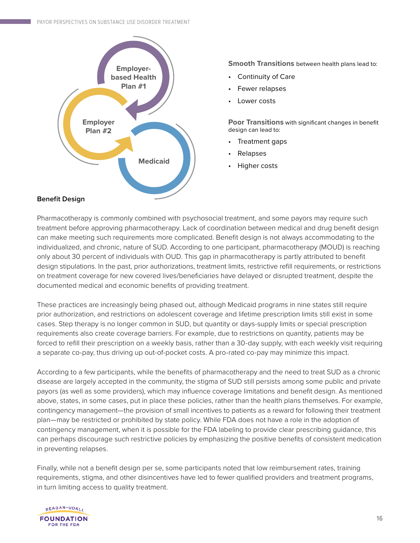

**Smooth Transitions** between health plans lead to:

- Continuity of Care
- Fewer relapses
- Lower costs

**Poor Transitions** with significant changes in benefit design can lead to:

- Treatment gaps
- Relapses
- Higher costs

#### **Benefit Design**

Pharmacotherapy is commonly combined with psychosocial treatment, and some payors may require such treatment before approving pharmacotherapy. Lack of coordination between medical and drug benefit design can make meeting such requirements more complicated. Benefit design is not always accommodating to the individualized, and chronic, nature of SUD. According to one participant, pharmacotherapy (MOUD) is reaching only about 30 percent of individuals with OUD. This gap in pharmacotherapy is partly attributed to benefit design stipulations. In the past, prior authorizations, treatment limits, restrictive refill requirements, or restrictions on treatment coverage for new covered lives/beneficiaries have delayed or disrupted treatment, despite the documented medical and economic benefits of providing treatment.

These practices are increasingly being phased out, although Medicaid programs in nine states still require prior authorization, and restrictions on adolescent coverage and lifetime prescription limits still exist in some cases. Step therapy is no longer common in SUD, but quantity or days-supply limits or special prescription requirements also create coverage barriers. For example, due to restrictions on quantity, patients may be forced to refill their prescription on a weekly basis, rather than a 30-day supply, with each weekly visit requiring a separate co-pay, thus driving up out-of-pocket costs. A pro-rated co-pay may minimize this impact.

According to a few participants, while the benefits of pharmacotherapy and the need to treat SUD as a chronic disease are largely accepted in the community, the stigma of SUD still persists among some public and private payors (as well as some providers), which may influence coverage limitations and benefit design. As mentioned above, states, in some cases, put in place these policies, rather than the health plans themselves. For example, contingency management—the provision of small incentives to patients as a reward for following their treatment plan—may be restricted or prohibited by state policy. While FDA does not have a role in the adoption of contingency management, when it is possible for the FDA labeling to provide clear prescribing guidance, this can perhaps discourage such restrictive policies by emphasizing the positive benefits of consistent medication in preventing relapses.

Finally, while not a benefit design per se, some participants noted that low reimbursement rates, training requirements, stigma, and other disincentives have led to fewer qualified providers and treatment programs, in turn limiting access to quality treatment.

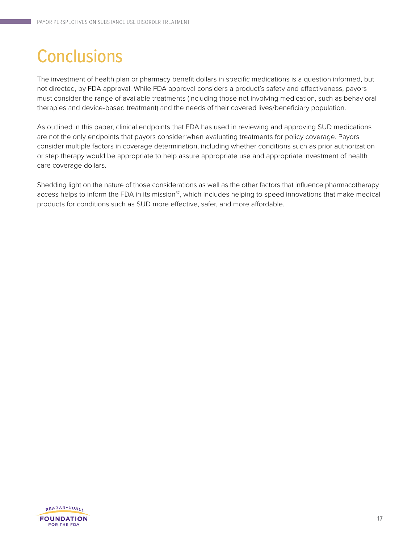## **Conclusions**

The investment of health plan or pharmacy benefit dollars in specific medications is a question informed, but not directed, by FDA approval. While FDA approval considers a product's safety and effectiveness, payors must consider the range of available treatments (including those not involving medication, such as behavioral therapies and device-based treatment) and the needs of their covered lives/beneficiary population.

As outlined in this paper, clinical endpoints that FDA has used in reviewing and approving SUD medications are not the only endpoints that payors consider when evaluating treatments for policy coverage. Payors consider multiple factors in coverage determination, including whether conditions such as prior authorization or step therapy would be appropriate to help assure appropriate use and appropriate investment of health care coverage dollars.

Shedding light on the nature of those considerations as well as the other factors that influence pharmacotherapy access helps to inform the FDA in its mission<sup>32</sup>, which includes helping to speed innovations that make medical products for conditions such as SUD more effective, safer, and more affordable.

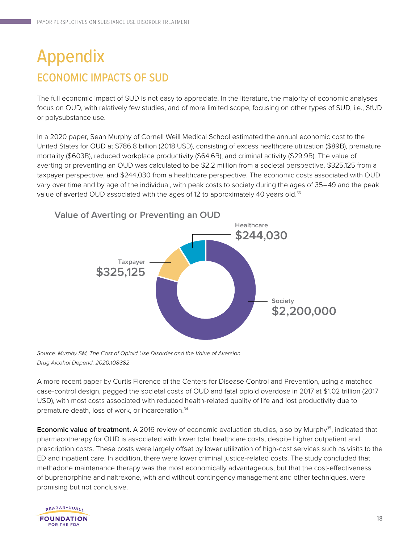### <span id="page-17-0"></span>Appendix ECONOMIC IMPACTS OF SUD

The full economic impact of SUD is not easy to appreciate. In the literature, the majority of economic analyses focus on OUD, with relatively few studies, and of more limited scope, focusing on other types of SUD, i.e., StUD or polysubstance use.

In a 2020 paper, Sean Murphy of Cornell Weill Medical School estimated the annual economic cost to the United States for OUD at \$786.8 billion (2018 USD), consisting of excess healthcare utilization (\$89B), premature mortality (\$603B), reduced workplace productivity (\$64.6B), and criminal activity (\$29.9B). The value of averting or preventing an OUD was calculated to be \$2.2 million from a societal perspective, \$325,125 from a taxpayer perspective, and \$244,030 from a healthcare perspective. The economic costs associated with OUD vary over time and by age of the individual, with peak costs to society during the ages of 35–49 and the peak value of averted OUD associated with the ages of 12 to approximately 40 years old.<sup>33</sup>



*Source: Murphy SM, The Cost of Opioid Use Disorder and the Value of Aversion. Drug Alcohol Depend. 2020:108382*

A more recent paper by Curtis Florence of the Centers for Disease Control and Prevention, using a matched case-control design, pegged the societal costs of OUD and fatal opioid overdose in 2017 at \$1.02 trillion (2017 USD), with most costs associated with reduced health-related quality of life and lost productivity due to premature death, loss of work, or incarceration.<sup>34</sup>

**Economic value of treatment.** A 2016 review of economic evaluation studies, also by Murphy<sup>35</sup>, indicated that pharmacotherapy for OUD is associated with lower total healthcare costs, despite higher outpatient and prescription costs. These costs were largely offset by lower utilization of high-cost services such as visits to the ED and inpatient care. In addition, there were lower criminal justice-related costs. The study concluded that methadone maintenance therapy was the most economically advantageous, but that the cost-effectiveness of buprenorphine and naltrexone, with and without contingency management and other techniques, were promising but not conclusive.

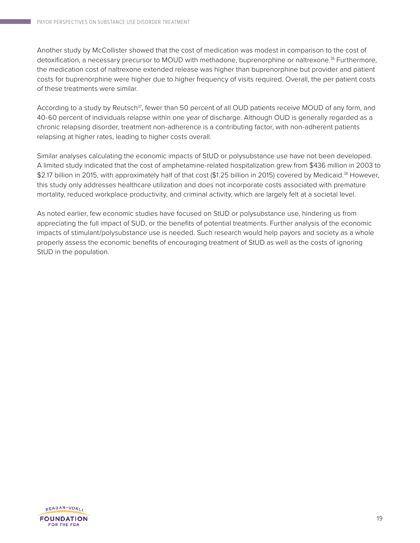Another study by McCollister showed that the cost of medication was modest in comparison to the cost of detoxification, a necessary precursor to MOUD with methadone, buprenorphine or naltrexone.<sup>36</sup> Furthermore, the medication cost of naltrexone extended release was higher than buprenorphine but provider and patient costs for buprenorphine were higher due to higher frequency of visits required. Overall, the per patient costs of these treatments were similar.

According to a study by Reutsch<sup>37</sup>, fewer than 50 percent of all OUD patients receive MOUD of any form, and 40-60 percent of individuals relapse within one year of discharge. Although OUD is generally regarded as a chronic relapsing disorder, treatment non-adherence is a contributing factor, with non-adherent patients relapsing at higher rates, leading to higher costs overall.

Similar analyses calculating the economic impacts of StUD or polysubstance use have not been developed. A limited study indicated that the cost of amphetamine-related hospitalization grew from \$436 million in 2003 to \$2.17 billion in 2015, with approximately half of that cost (\$1.25 billion in 2015) covered by Medicaid.<sup>38</sup> However, this study only addresses healthcare utilization and does not incorporate costs associated with premature mortality, reduced workplace productivity, and criminal activity, which are largely felt at a societal level.

As noted earlier, few economic studies have focused on StUD or polysubstance use, hindering us from appreciating the full impact of SUD, or the benefits of potential treatments. Further analysis of the economic impacts of stimulant/polysubstance use is needed. Such research would help payors and society as a whole properly assess the economic benefits of encouraging treatment of StUD as well as the costs of ignoring StUD in the population.

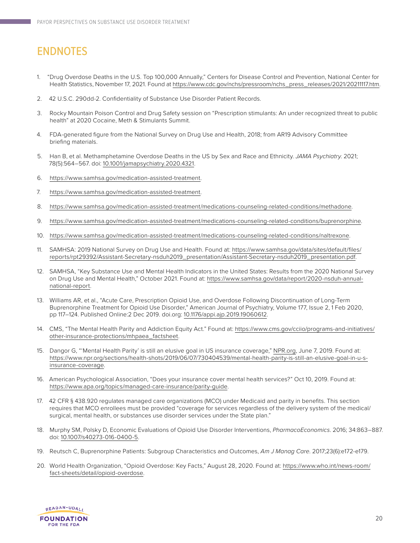### ENDNOTES

- 1. "Drug Overdose Deaths in the U.S. Top 100,000 Annually," Centers for Disease Control and Prevention, National Center for Health Statistics, November 17, 2021. Found at [https://www.cdc.gov/nchs/pressroom/nchs\\_press\\_releases/2021/20211117.htm](https://www.cdc.gov/nchs/pressroom/nchs_press_releases/2021/20211117.htm).
- 2. 42 U.S.C. 290dd-2. Confidentiality of Substance Use Disorder Patient Records.
- 3. Rocky Mountain Poison Control and Drug Safety session on "Prescription stimulants: An under recognized threat to public health" at 2020 Cocaine, Meth & Stimulants Summit.
- 4. FDA-generated figure from the National Survey on Drug Use and Health, 2018; from AR19 Advisory Committee briefing materials.
- 5. Han B, et al. Methamphetamine Overdose Deaths in the US by Sex and Race and Ethnicity. *JAMA Psychiatry*. 2021; 78(5):564–567. doi: [10.1001/jamapsychiatry.2020.4321](https://jamanetwork.com/journals/jamapsychiatry/article-abstract/2774859).
- 6. <https://www.samhsa.gov/medication-assisted-treatment>.
- 7. <https://www.samhsa.gov/medication-assisted-treatment>.
- 8. [https://www.samhsa.gov/medication-assisted-treatment/medications-counseling-related-conditions/methadone.](https://www.samhsa.gov/medication-assisted-treatment/medications-counseling-related-conditions/methadone)
- 9. <https://www.samhsa.gov/medication-assisted-treatment/medications-counseling-related-conditions/buprenorphine>.
- 10. <https://www.samhsa.gov/medication-assisted-treatment/medications-counseling-related-conditions/naltrexone>.
- 11. SAMHSA: 2019 National Survey on Drug Use and Health. Found at: [https://www.samhsa.gov/data/sites/default/files/](https://www.samhsa.gov/data/sites/default/files/reports/rpt29392/Assistant-Secretary-nsduh2019_presentation/Assistant-Secretary-nsduh2019_presentation.pdf) [reports/rpt29392/Assistant-Secretary-nsduh2019\\_presentation/Assistant-Secretary-nsduh2019\\_presentation.pdf](https://www.samhsa.gov/data/sites/default/files/reports/rpt29392/Assistant-Secretary-nsduh2019_presentation/Assistant-Secretary-nsduh2019_presentation.pdf).
- 12. SAMHSA, "Key Substance Use and Mental Health Indicators in the United States: Results from the 2020 National Survey on Drug Use and Mental Health," October 2021. Found at: [https://www.samhsa.gov/data/report/2020-nsduh-annual](https://www.samhsa.gov/data/sites/default/files/reports/rpt29392/Assistant-Secretary-nsduh2019_presentation/Assistant-Secretary-nsduh2019_presentation.pdf)[national-report](https://www.samhsa.gov/data/sites/default/files/reports/rpt29392/Assistant-Secretary-nsduh2019_presentation/Assistant-Secretary-nsduh2019_presentation.pdf).
- 13. Williams AR, et al., "Acute Care, Prescription Opioid Use, and Overdose Following Discontinuation of Long-Term Buprenorphine Treatment for Opioid Use Disorder," American Journal of Psychiatry, Volume 177, Issue 2, 1 Feb 2020, pp 117–124. Published Online:2 Dec 2019. [doi.org: 10.1176/appi.ajp.2019.19060612](https://ajp.psychiatryonline.org/doi/10.1176/appi.ajp.2019.19060612).
- 14. CMS, "The Mental Health Parity and Addiction Equity Act." Found at: [https://www.cms.gov/cciio/programs-and-initiatives/](https://www.cms.gov/cciio/programs-and-initiatives/other-insurance-protections/mhpaea_factsheet) [other-insurance-protections/mhpaea\\_factsheet.](https://www.cms.gov/cciio/programs-and-initiatives/other-insurance-protections/mhpaea_factsheet)
- 15. Dangor G, "'Mental Health Parity' is still an elusive goal in US insurance coverage," [NPR.org](https://www.npr.org), June 7, 2019. Found at: [https://www.npr.org/sections/health-shots/2019/06/07/730404539/mental-health-parity-is-still-an-elusive-goal-in-u-s](https://www.npr.org/sections/health-shots/2019/06/07/730404539/mental-health-parity-is-still-an-elus)[insurance-coverage.](https://www.npr.org/sections/health-shots/2019/06/07/730404539/mental-health-parity-is-still-an-elus)
- 16. American Psychological Association, "Does your insurance cover mental health services?" Oct 10, 2019. Found at: [https://www.apa.org/topics/managed-care-insurance/parity-guide.](https://www.apa.org/topics/managed-care-insurance/parity-guide)
- 17. 42 CFR § 438.920 regulates managed care organizations (MCO) under Medicaid and parity in benefits. This section requires that MCO enrollees must be provided "coverage for services regardless of the delivery system of the medical/ surgical, mental health, or substances use disorder services under the State plan."
- 18. Murphy SM, Polsky D, Economic Evaluations of Opioid Use Disorder Interventions, *PharmacoEconomics*. 2016; 34:863–887. doi: [10.1007/s40273-016-0400-5](https://link.springer.com/article/10.1007%2Fs40273-016-0400-5).
- 19. Reutsch C, Buprenorphine Patients: Subgroup Characteristics and Outcomes, *Am J Manag Care*. 2017;23(6):e172-e179.
- 20. World Health Organization, "Opioid Overdose: Key Facts," August 28, 2020. Found at: [https://www.who.int/news-room/](https://www.who.int/news-room/fact-sheets/detail/opioid-overdose) [fact-sheets/detail/opioid-overdose.](https://www.who.int/news-room/fact-sheets/detail/opioid-overdose)